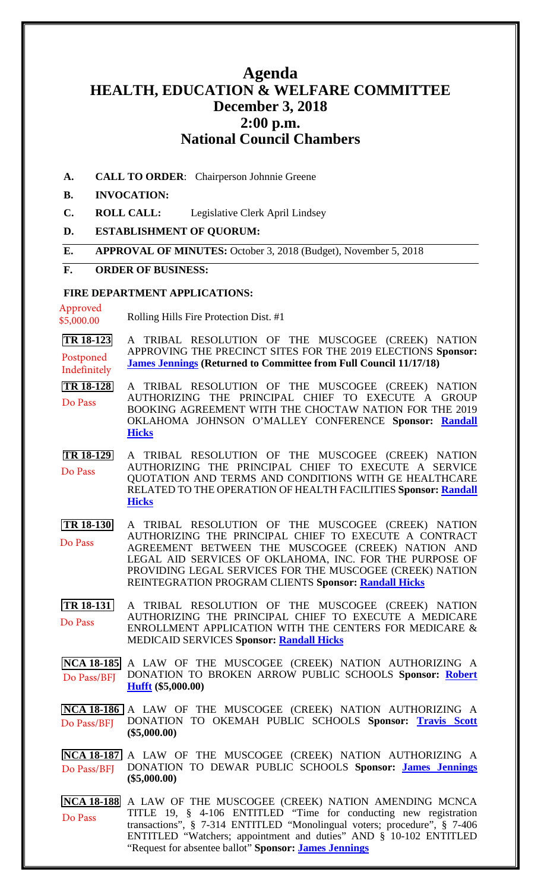# **Agenda HEALTH, EDUCATION & WELFARE COMMITTEE December 3, 2018 2:00 p.m. National Council Chambers**

**A. CALL TO ORDER**: Chairperson Johnnie Greene

#### **B. INVOCATION:**

- **C. ROLL CALL:** Legislative Clerk April Lindsey
- **D. ESTABLISHMENT OF QUORUM:**
- **E. APPROVAL OF MINUTES:** October 3, 2018 (Budget), November 5, 2018

#### **F. ORDER OF BUSINESS:**

#### **FIRE DEPARTMENT APPLICATIONS:**

Approved \$5,000.00

Rolling Hills Fire Protection Dist. #1

**[TR 18-123](bills/18-123.pdf)** A TRIBAL RESOLUTION OF THE MUSCOGEE (CREEK) NATION APPROVING THE PRECINCT SITES FOR THE 2019 ELECTIONS **Sponsor: [James Jennings](mailto:jjennings@mcn-nsn.gov) (Returned to Committee from Full Council 11/17/18)** Postponed Indefinitely

**[TR 18-128](bills/18-128.pdf)** A TRIBAL RESOLUTION OF THE MUSCOGEE (CREEK) NATION AUTHORIZING THE PRINCIPAL CHIEF TO EXECUTE A GROUP BOOKING AGREEMENT WITH THE CHOCTAW NATION FOR THE 2019 OKLAHOMA JOHNSON O'MALLEY CONFERENCE **Sponsor: [Randall](mailto:rhicks@mcn-nsn.gov)  [Hicks](mailto:rhicks@mcn-nsn.gov)** Do Pass

- **[TR 18-129](bills/18-129.pdf)** A TRIBAL RESOLUTION OF THE MUSCOGEE (CREEK) NATION AUTHORIZING THE PRINCIPAL CHIEF TO EXECUTE A SERVICE QUOTATION AND TERMS AND CONDITIONS WITH GE HEALTHCARE RELATED TO THE OPERATION OF HEALTH FACILITIES **Sponsor: [Randall](mailto:rhicks@mcn-nsn.gov)  [Hicks](mailto:rhicks@mcn-nsn.gov)** Do Pass
- **[TR 18-130](bills/18-130.pdf)** A TRIBAL RESOLUTION OF THE MUSCOGEE (CREEK) NATION AUTHORIZING THE PRINCIPAL CHIEF TO EXECUTE A CONTRACT AGREEMENT BETWEEN THE MUSCOGEE (CREEK) NATION AND LEGAL AID SERVICES OF OKLAHOMA, INC. FOR THE PURPOSE OF PROVIDING LEGAL SERVICES FOR THE MUSCOGEE (CREEK) NATION REINTEGRATION PROGRAM CLIENTS **Sponsor: [Randall Hicks](mailto:rhicks@mcn-nsn.gov)** Do Pass
- **[TR 18-131](bills/18-131.pdf)** A TRIBAL RESOLUTION OF THE MUSCOGEE (CREEK) NATION AUTHORIZING THE PRINCIPAL CHIEF TO EXECUTE A MEDICARE ENROLLMENT APPLICATION WITH THE CENTERS FOR MEDICARE & MEDICAID SERVICES **Sponsor: [Randall Hicks](mailto:rhicks@mcn-nsn.gov)** Do Pass

**[NCA 18-185](bills/NCA18-185.pdf)** A LAW OF THE MUSCOGEE (CREEK) NATION AUTHORIZING A DONATION TO BROKEN ARROW PUBLIC SCHOOLS **Sponsor: [Robert](mailto:rhufft@mcn-nsn.gov)  [Hufft](mailto:rhufft@mcn-nsn.gov) (\$5,000.00)** Do Pass/BFJ

**[NCA 18-186](bills/NCA18-186.pdf)** A LAW OF THE MUSCOGEE (CREEK) NATION AUTHORIZING A DONATION TO OKEMAH PUBLIC SCHOOLS **Sponsor: [Travis Scott](mailto:tscott@mcn-nsn.gov) (\$5,000.00)** Do Pass/BFJ

**[NCA 18-187](bills/NCA18-187.pdf)** A LAW OF THE MUSCOGEE (CREEK) NATION AUTHORIZING A DONATION TO DEWAR PUBLIC SCHOOLS **Sponsor: [James Jennings](mailto:jjennings@mcn-nsn.gov) (\$5,000.00)** Do Pass/BFJ

**[NCA 18-188](bills/NCA18-188.pdf)** A LAW OF THE MUSCOGEE (CREEK) NATION AMENDING MCNCA TITLE 19, § 4-106 ENTITLED "Time for conducting new registration transactions", § 7-314 ENTITLED "Monolingual voters; procedure", § 7-406 ENTITLED "Watchers; appointment and duties" AND § 10-102 ENTITLED "Request for absentee ballot" **Sponsor: [James Jennings](mailto:jjennings@mcn-nsn.gov)** Do Pass